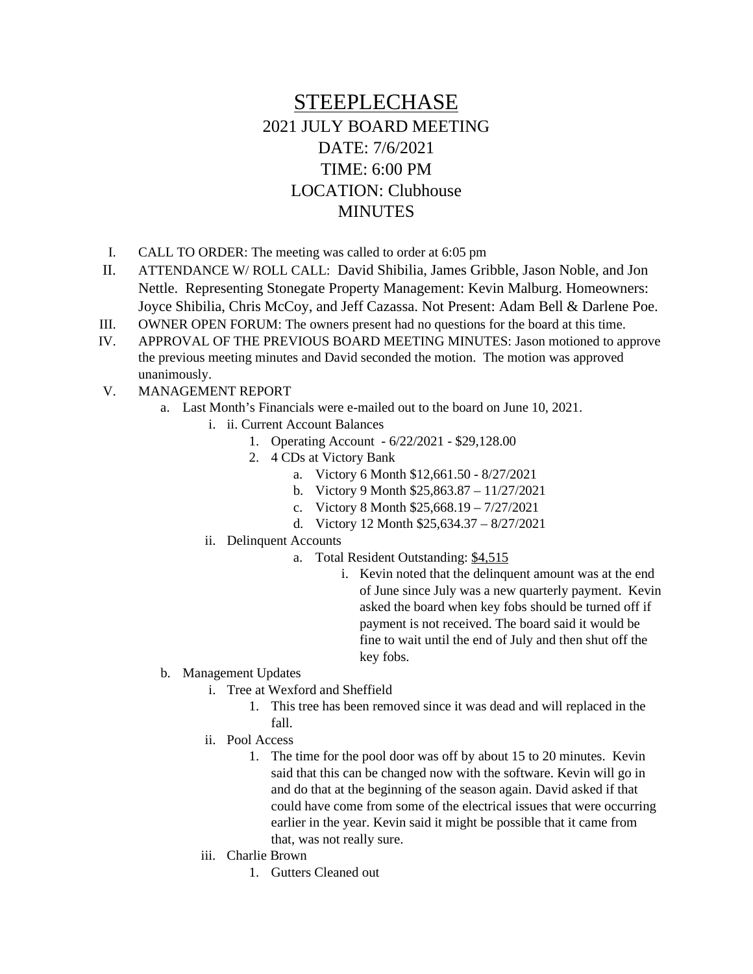## STEEPLECHASE 2021 JULY BOARD MEETING DATE: 7/6/2021 TIME: 6:00 PM LOCATION: Clubhouse **MINUTES**

- I. CALL TO ORDER: The meeting was called to order at 6:05 pm
- II. ATTENDANCE W/ ROLL CALL: David Shibilia, James Gribble, Jason Noble, and Jon Nettle. Representing Stonegate Property Management: Kevin Malburg. Homeowners: Joyce Shibilia, Chris McCoy, and Jeff Cazassa. Not Present: Adam Bell & Darlene Poe.
- III. OWNER OPEN FORUM: The owners present had no questions for the board at this time.
- IV. APPROVAL OF THE PREVIOUS BOARD MEETING MINUTES: Jason motioned to approve the previous meeting minutes and David seconded the motion. The motion was approved unanimously.
- V. MANAGEMENT REPORT
	- a. Last Month's Financials were e-mailed out to the board on June 10, 2021.
		- i. ii. Current Account Balances
			- 1. Operating Account 6/22/2021 \$29,128.00
				- 2. 4 CDs at Victory Bank
					- a. Victory 6 Month \$12,661.50 8/27/2021
					- b. Victory 9 Month \$25,863.87 11/27/2021
					- c. Victory 8 Month \$25,668.19 7/27/2021
					- d. Victory 12 Month \$25,634.37 8/27/2021
			- ii. Delinquent Accounts
				- a. Total Resident Outstanding: \$4,515
					- i. Kevin noted that the delinquent amount was at the end of June since July was a new quarterly payment. Kevin asked the board when key fobs should be turned off if payment is not received. The board said it would be fine to wait until the end of July and then shut off the key fobs.
	- b. Management Updates
		- i. Tree at Wexford and Sheffield
			- 1. This tree has been removed since it was dead and will replaced in the fall.
		- ii. Pool Access
			- 1. The time for the pool door was off by about 15 to 20 minutes. Kevin said that this can be changed now with the software. Kevin will go in and do that at the beginning of the season again. David asked if that could have come from some of the electrical issues that were occurring earlier in the year. Kevin said it might be possible that it came from that, was not really sure.
		- iii. Charlie Brown
			- 1. Gutters Cleaned out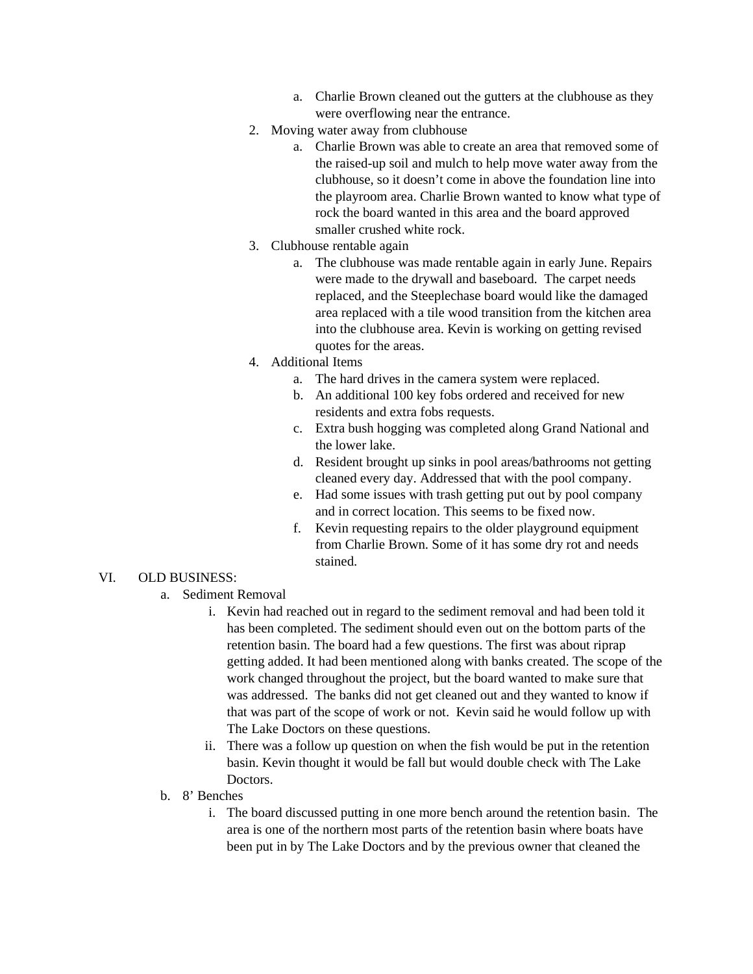- a. Charlie Brown cleaned out the gutters at the clubhouse as they were overflowing near the entrance.
- 2. Moving water away from clubhouse
	- a. Charlie Brown was able to create an area that removed some of the raised-up soil and mulch to help move water away from the clubhouse, so it doesn't come in above the foundation line into the playroom area. Charlie Brown wanted to know what type of rock the board wanted in this area and the board approved smaller crushed white rock.
- 3. Clubhouse rentable again
	- a. The clubhouse was made rentable again in early June. Repairs were made to the drywall and baseboard. The carpet needs replaced, and the Steeplechase board would like the damaged area replaced with a tile wood transition from the kitchen area into the clubhouse area. Kevin is working on getting revised quotes for the areas.
- 4. Additional Items
	- a. The hard drives in the camera system were replaced.
	- b. An additional 100 key fobs ordered and received for new residents and extra fobs requests.
	- c. Extra bush hogging was completed along Grand National and the lower lake.
	- d. Resident brought up sinks in pool areas/bathrooms not getting cleaned every day. Addressed that with the pool company.
	- e. Had some issues with trash getting put out by pool company and in correct location. This seems to be fixed now.
	- f. Kevin requesting repairs to the older playground equipment from Charlie Brown. Some of it has some dry rot and needs stained.

## VI. OLD BUSINESS:

- a. Sediment Removal
	- i. Kevin had reached out in regard to the sediment removal and had been told it has been completed. The sediment should even out on the bottom parts of the retention basin. The board had a few questions. The first was about riprap getting added. It had been mentioned along with banks created. The scope of the work changed throughout the project, but the board wanted to make sure that was addressed. The banks did not get cleaned out and they wanted to know if that was part of the scope of work or not. Kevin said he would follow up with The Lake Doctors on these questions.
	- ii. There was a follow up question on when the fish would be put in the retention basin. Kevin thought it would be fall but would double check with The Lake Doctors.
- b. 8' Benches
	- i. The board discussed putting in one more bench around the retention basin. The area is one of the northern most parts of the retention basin where boats have been put in by The Lake Doctors and by the previous owner that cleaned the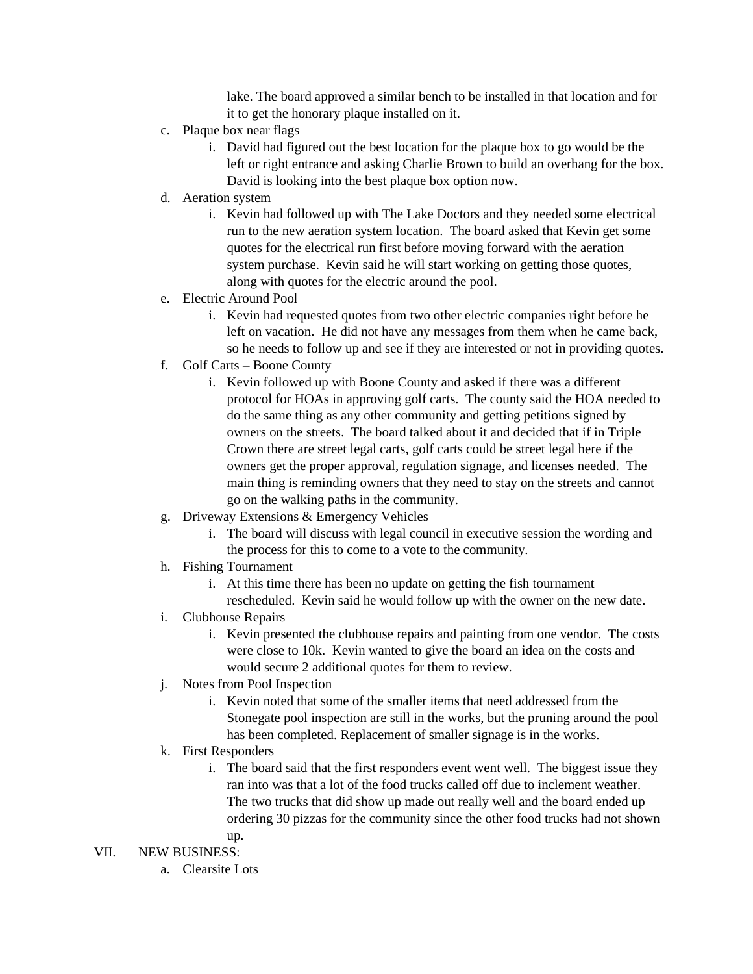lake. The board approved a similar bench to be installed in that location and for it to get the honorary plaque installed on it.

- c. Plaque box near flags
	- i. David had figured out the best location for the plaque box to go would be the left or right entrance and asking Charlie Brown to build an overhang for the box. David is looking into the best plaque box option now.
- d. Aeration system
	- i. Kevin had followed up with The Lake Doctors and they needed some electrical run to the new aeration system location. The board asked that Kevin get some quotes for the electrical run first before moving forward with the aeration system purchase. Kevin said he will start working on getting those quotes, along with quotes for the electric around the pool.
- e. Electric Around Pool
	- i. Kevin had requested quotes from two other electric companies right before he left on vacation. He did not have any messages from them when he came back, so he needs to follow up and see if they are interested or not in providing quotes.
- f. Golf Carts Boone County
	- i. Kevin followed up with Boone County and asked if there was a different protocol for HOAs in approving golf carts. The county said the HOA needed to do the same thing as any other community and getting petitions signed by owners on the streets. The board talked about it and decided that if in Triple Crown there are street legal carts, golf carts could be street legal here if the owners get the proper approval, regulation signage, and licenses needed. The main thing is reminding owners that they need to stay on the streets and cannot go on the walking paths in the community.
- g. Driveway Extensions & Emergency Vehicles
	- i. The board will discuss with legal council in executive session the wording and the process for this to come to a vote to the community.
- h. Fishing Tournament
	- i. At this time there has been no update on getting the fish tournament rescheduled. Kevin said he would follow up with the owner on the new date.
- i. Clubhouse Repairs
	- i. Kevin presented the clubhouse repairs and painting from one vendor. The costs were close to 10k. Kevin wanted to give the board an idea on the costs and would secure 2 additional quotes for them to review.
- j. Notes from Pool Inspection
	- i. Kevin noted that some of the smaller items that need addressed from the Stonegate pool inspection are still in the works, but the pruning around the pool has been completed. Replacement of smaller signage is in the works.
- k. First Responders
	- i. The board said that the first responders event went well. The biggest issue they ran into was that a lot of the food trucks called off due to inclement weather. The two trucks that did show up made out really well and the board ended up ordering 30 pizzas for the community since the other food trucks had not shown up.

VII. NEW BUSINESS:

a. Clearsite Lots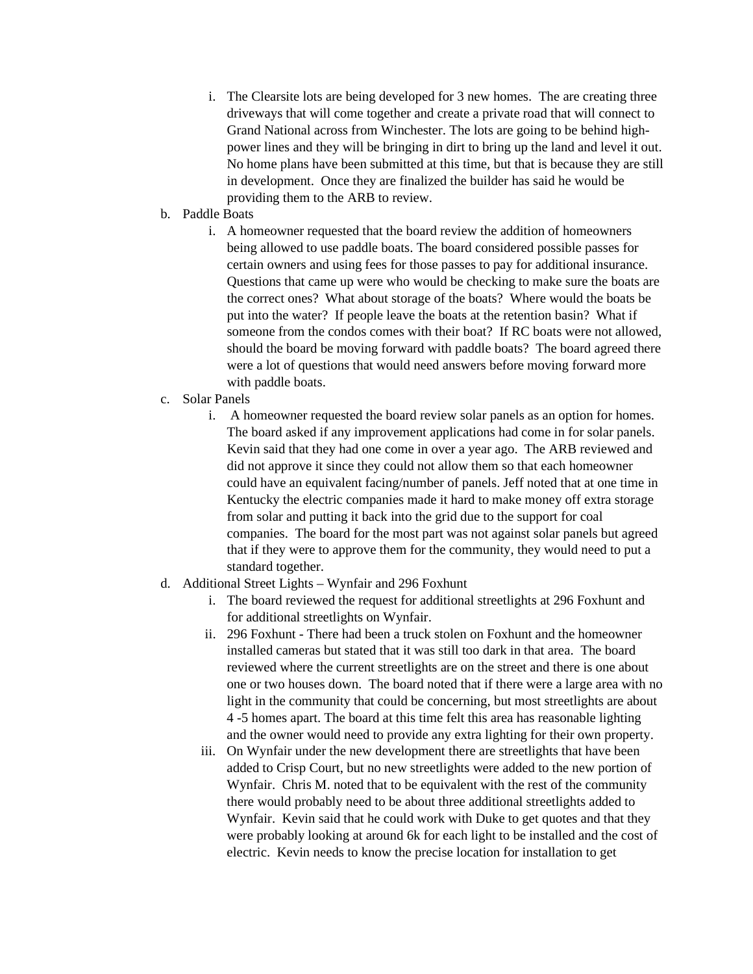- i. The Clearsite lots are being developed for 3 new homes. The are creating three driveways that will come together and create a private road that will connect to Grand National across from Winchester. The lots are going to be behind highpower lines and they will be bringing in dirt to bring up the land and level it out. No home plans have been submitted at this time, but that is because they are still in development. Once they are finalized the builder has said he would be providing them to the ARB to review.
- b. Paddle Boats
	- i. A homeowner requested that the board review the addition of homeowners being allowed to use paddle boats. The board considered possible passes for certain owners and using fees for those passes to pay for additional insurance. Questions that came up were who would be checking to make sure the boats are the correct ones? What about storage of the boats? Where would the boats be put into the water? If people leave the boats at the retention basin? What if someone from the condos comes with their boat? If RC boats were not allowed, should the board be moving forward with paddle boats? The board agreed there were a lot of questions that would need answers before moving forward more with paddle boats.
- c. Solar Panels
	- i. A homeowner requested the board review solar panels as an option for homes. The board asked if any improvement applications had come in for solar panels. Kevin said that they had one come in over a year ago. The ARB reviewed and did not approve it since they could not allow them so that each homeowner could have an equivalent facing/number of panels. Jeff noted that at one time in Kentucky the electric companies made it hard to make money off extra storage from solar and putting it back into the grid due to the support for coal companies. The board for the most part was not against solar panels but agreed that if they were to approve them for the community, they would need to put a standard together.
- d. Additional Street Lights Wynfair and 296 Foxhunt
	- i. The board reviewed the request for additional streetlights at 296 Foxhunt and for additional streetlights on Wynfair.
	- ii. 296 Foxhunt There had been a truck stolen on Foxhunt and the homeowner installed cameras but stated that it was still too dark in that area. The board reviewed where the current streetlights are on the street and there is one about one or two houses down. The board noted that if there were a large area with no light in the community that could be concerning, but most streetlights are about 4 -5 homes apart. The board at this time felt this area has reasonable lighting and the owner would need to provide any extra lighting for their own property.
	- iii. On Wynfair under the new development there are streetlights that have been added to Crisp Court, but no new streetlights were added to the new portion of Wynfair. Chris M. noted that to be equivalent with the rest of the community there would probably need to be about three additional streetlights added to Wynfair. Kevin said that he could work with Duke to get quotes and that they were probably looking at around 6k for each light to be installed and the cost of electric. Kevin needs to know the precise location for installation to get